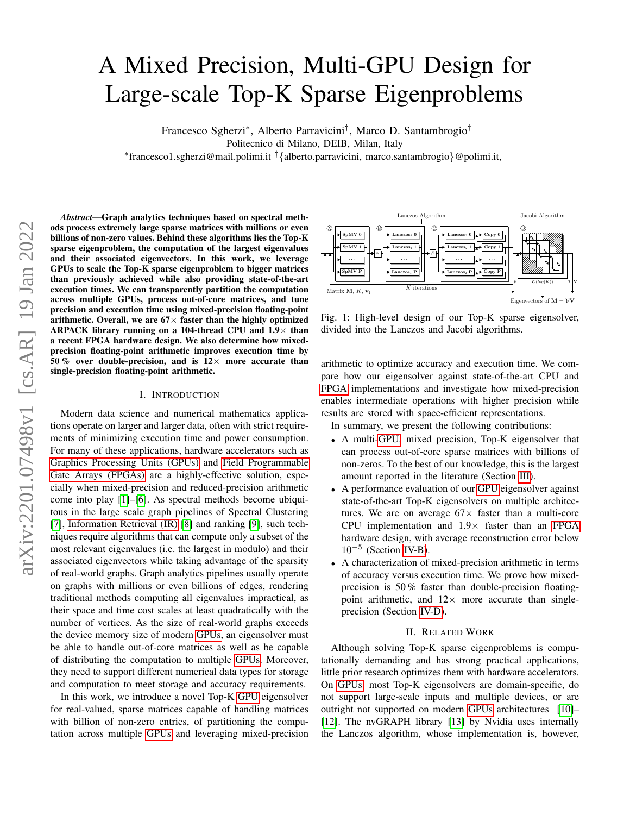# <span id="page-0-0"></span>A Mixed Precision, Multi-GPU Design for Large-scale Top-K Sparse Eigenproblems

Francesco Sgherzi<sup>∗</sup> , Alberto Parravicini† , Marco D. Santambrogio†

Politecnico di Milano, DEIB, Milan, Italy

∗ francesco1.sgherzi@mail.polimi.it †{alberto.parravicini, marco.santambrogio}@polimi.it,

*Abstract*—Graph analytics techniques based on spectral methods process extremely large sparse matrices with millions or even billions of non-zero values. Behind these algorithms lies the Top-K sparse eigenproblem, the computation of the largest eigenvalues and their associated eigenvectors. In this work, we leverage GPUs to scale the Top-K sparse eigenproblem to bigger matrices than previously achieved while also providing state-of-the-art execution times. We can transparently partition the computation across multiple GPUs, process out-of-core matrices, and tune precision and execution time using mixed-precision floating-point arithmetic. Overall, we are  $67\times$  faster than the highly optimized ARPACK library running on a 104-thread CPU and  $1.9\times$  than a recent FPGA hardware design. We also determine how mixedprecision floating-point arithmetic improves execution time by 50 % over double-precision, and is  $12\times$  more accurate than single-precision floating-point arithmetic.

## I. INTRODUCTION

Modern data science and numerical mathematics applications operate on larger and larger data, often with strict requirements of minimizing execution time and power consumption. For many of these applications, hardware accelerators such as Graphics Processing Units (GPUs) and Field Programmable Gate Arrays (FPGAs) are a highly-effective solution, especially when mixed-precision and reduced-precision arithmetic come into play [\[1\]](#page-4-0)–[\[6\]](#page-4-1). As spectral methods become ubiquitous in the large scale graph pipelines of Spectral Clustering [\[7\]](#page-4-2), Information Retrieval (IR) [\[8\]](#page-4-3) and ranking [\[9\]](#page-4-4), such techniques require algorithms that can compute only a subset of the most relevant eigenvalues (i.e. the largest in modulo) and their associated eigenvectors while taking advantage of the sparsity of real-world graphs. Graph analytics pipelines usually operate on graphs with millions or even billions of edges, rendering traditional methods computing all eigenvalues impractical, as their space and time cost scales at least quadratically with the number of vertices. As the size of real-world graphs exceeds the device memory size of modern GPUs, an eigensolver must be able to handle out-of-core matrices as well as be capable of distributing the computation to multiple GPUs. Moreover, they need to support different numerical data types for storage and computation to meet storage and accuracy requirements.

In this work, we introduce a novel Top-K GPU eigensolver for real-valued, sparse matrices capable of handling matrices with billion of non-zero entries, of partitioning the computation across multiple GPUs and leveraging mixed-precision

<span id="page-0-1"></span>

Fig. 1: High-level design of our Top-K sparse eigensolver, divided into the Lanczos and Jacobi algorithms.

arithmetic to optimize accuracy and execution time. We compare how our eigensolver against state-of-the-art CPU and FPGA implementations and investigate how mixed-precision enables intermediate operations with higher precision while results are stored with space-efficient representations.

In summary, we present the following contributions:

- A multi-GPU, mixed precision, Top-K eigensolver that can process out-of-core sparse matrices with billions of non-zeros. To the best of our knowledge, this is the largest amount reported in the literature (Section [III\)](#page-1-0).
- A performance evaluation of our GPU eigensolver against state-of-the-art Top-K eigensolvers on multiple architectures. We are on average  $67\times$  faster than a multi-core CPU implementation and  $1.9\times$  faster than an FPGA hardware design, with average reconstruction error below 10<sup>−</sup><sup>5</sup> (Section [IV-B\)](#page-2-0).
- A characterization of mixed-precision arithmetic in terms of accuracy versus execution time. We prove how mixedprecision is 50 % faster than double-precision floatingpoint arithmetic, and  $12\times$  more accurate than singleprecision (Section [IV-D\)](#page-3-0).

### II. RELATED WORK

Although solving Top-K sparse eigenproblems is computationally demanding and has strong practical applications, little prior research optimizes them with hardware accelerators. On GPUs, most Top-K eigensolvers are domain-specific, do not support large-scale inputs and multiple devices, or are outright not supported on modern GPUs architectures [\[10\]](#page-4-5)– [\[12\]](#page-4-6). The nvGRAPH library [\[13\]](#page-4-7) by Nvidia uses internally the Lanczos algorithm, whose implementation is, however,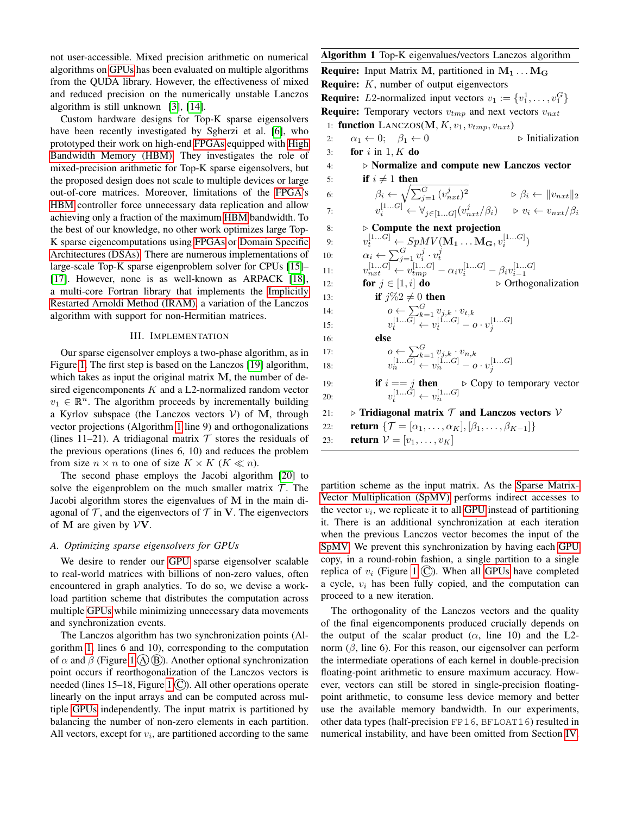not user-accessible. Mixed precision arithmetic on numerical algorithms on [GPUs](#page-0-0) has been evaluated on multiple algorithms from the QUDA library. However, the effectiveness of mixed and reduced precision on the numerically unstable Lanczos algorithm is still unknown [\[3\]](#page-4-8), [\[14\]](#page-4-9).

Custom hardware designs for Top-K sparse eigensolvers have been recently investigated by Sgherzi et al. [\[6\]](#page-4-1), who prototyped their work on high-end [FPGAs](#page-0-0) equipped with [High](#page-0-0) [Bandwidth Memory \(HBM\).](#page-0-0) They investigates the role of mixed-precision arithmetic for Top-K sparse eigensolvers, but the proposed design does not scale to multiple devices or large out-of-core matrices. Moreover, limitations of the [FPGA'](#page-0-0)s [HBM](#page-0-0) controller force unnecessary data replication and allow achieving only a fraction of the maximum [HBM](#page-0-0) bandwidth. To the best of our knowledge, no other work optimizes large Top-K sparse eigencomputations using [FPGAs](#page-0-0) or [Domain Specific](#page-0-0) [Architectures \(DSAs\).](#page-0-0) There are numerous implementations of large-scale Top-K sparse eigenproblem solver for CPUs [\[15\]](#page-4-10)– [\[17\]](#page-4-11). However, none is as well-known as ARPACK [\[18\]](#page-4-12), a multi-core Fortran library that implements the [Implicitly](#page-0-0) [Restarted Arnoldi Method \(IRAM\),](#page-0-0) a variation of the Lanczos algorithm with support for non-Hermitian matrices.

#### III. IMPLEMENTATION

<span id="page-1-0"></span>Our sparse eigensolver employs a two-phase algorithm, as in Figure [1.](#page-0-1) The first step is based on the Lanczos [\[19\]](#page-4-13) algorithm, which takes as input the original matrix M, the number of desired eigencomponents  $K$  and a L2-normalized random vector  $v_1 \in \mathbb{R}^n$ . The algorithm proceeds by incrementally building a Kyrlov subspace (the Lanczos vectors  $V$ ) of M, through vector projections (Algorithm [1](#page-1-1) line 9) and orthogonalizations (lines 11–21). A tridiagonal matrix  $T$  stores the residuals of the previous operations (lines 6, 10) and reduces the problem from size  $n \times n$  to one of size  $K \times K$  ( $K \ll n$ ).

The second phase employs the Jacobi algorithm [\[20\]](#page-4-14) to solve the eigenproblem on the much smaller matrix  $\mathcal T$ . The Jacobi algorithm stores the eigenvalues of M in the main diagonal of  $\mathcal T$ , and the eigenvectors of  $\mathcal T$  in V. The eigenvectors of M are given by  $\mathcal{V}\mathbf{V}$ .

#### <span id="page-1-2"></span>*A. Optimizing sparse eigensolvers for GPUs*

We desire to render our [GPU](#page-0-0) sparse eigensolver scalable to real-world matrices with billions of non-zero values, often encountered in graph analytics. To do so, we devise a workload partition scheme that distributes the computation across multiple [GPUs](#page-0-0) while minimizing unnecessary data movements and synchronization events.

The Lanczos algorithm has two synchronization points (Algorithm [1,](#page-1-1) lines 6 and 10), corresponding to the computation of  $\alpha$  and  $\beta$  (Figure [1](#page-0-1) (A)(B)). Another optional synchronization point occurs if reorthogonalization of the Lanczos vectors is needed (lines [1](#page-0-1)5–18, Figure 1  $\circ$ ). All other operations operate linearly on the input arrays and can be computed across multiple [GPUs](#page-0-0) independently. The input matrix is partitioned by balancing the number of non-zero elements in each partition. All vectors, except for  $v_i$ , are partitioned according to the same <span id="page-1-1"></span>Algorithm 1 Top-K eigenvalues/vectors Lanczos algorithm **Require:** Input Matrix M, partitioned in  $M_1 \ldots M_G$ **Require:**  $K$ , number of output eigenvectors **Require:** *L*2-normalized input vectors  $v_1 := \{v_1^1, \ldots, v_1^G\}$ **Require:** Temporary vectors  $v_{tmp}$  and next vectors  $v_{nxt}$ 1: function  $\text{LANCZOS}(M, K, v_1, v_{tmp}, v_{nxt})$ 2:  $\alpha_1 \leftarrow 0; \quad \beta_1 \leftarrow 0$   $\triangleright$  Initialization<br>3: **for** *i* in 1, *K* **do** for  $i$  in 1,  $K$  do  $4: \rightarrow$  Normalize and compute new Lanczos vector 5: if  $i \neq 1$  then 6:  $\beta_i \leftarrow \sqrt{\sum_{j=1}^G (v_{nxt}^j)^2} \qquad \beta_i \leftarrow ||v_{nxt}||_2$ 7:  $v_i^{[1...G]} \leftarrow \forall_{j \in [1...G]} (v_{nxt}^j/\beta_i) \Rightarrow v_i \leftarrow v_{nxt}/\beta_i$ 8:  $\triangleright$  Compute the next projection 9:  $v_t^{[1...G]} \leftarrow SpMV(\mathbf{M_1} \dots \mathbf{M_G}, v_i^{[1...G]})$ 10:  $\alpha_i \leftarrow \sum_{j=1}^G v_i^j \cdot v_t^j$ 11:  $v_{nxt}^{[1...G]} \leftarrow v_{tmp}^{[1...G]} - \alpha_i v_i^{[1...G]} - \beta_i v_{i-1}^{[1...G]}$ 12: **for**  $j \in [1, i]$  **do**  $\triangleright$  Orthogonalization 13: **if**  $j\%2 \neq 0$  then 14:  $0 \leftarrow \sum_{i=1}^{G} v_{i,k} \cdot v_{t,k}$ 15:  $v_t^{[1...G]} \leftarrow v_t^{[1...G]} - o \cdot v_j^{[1...G]}$  $16:$ 17:  $0 \leftarrow \sum_{i=1}^{G} v_{i,k} \cdot v_{n,k}$ 18:  $v_n^{[1...G]} \leftarrow v_n^{[1...G]} - o \cdot v_j^{[1...G]}$ 19: **if**  $i == j$  **then**  $\triangleright$  Copy to temporary vector 20:  $v_t^{[1...G]} \leftarrow v_n^{[1...G]}$ 21:  $\triangleright$  Tridiagonal matrix  $\mathcal T$  and Lanczos vectors  $\mathcal V$ <br>22: **return**  $\{\mathcal T = [\alpha_1, ..., \alpha_K], [\beta_1, ..., \beta_{K-1}]\}$ return  $\{\mathcal{T} = [\alpha_1, \ldots, \alpha_K], [\beta_1, \ldots, \beta_{K-1}]\}$ 23: **return**  $V = [v_1, ..., v_K]$ 

partition scheme as the input matrix. As the [Sparse Matrix-](#page-0-0)[Vector Multiplication \(SpMV\)](#page-0-0) performs indirect accesses to the vector  $v_i$ , we replicate it to all [GPU](#page-0-0) instead of partitioning it. There is an additional synchronization at each iteration when the previous Lanczos vector becomes the input of the [SpMV.](#page-0-0) We prevent this synchronization by having each [GPU](#page-0-0) copy, in a round-robin fashion, a single partition to a single replica of  $v_i$  (Figure [1](#page-0-1)  $\circled{C}$ ). When all [GPUs](#page-0-0) have completed a cycle,  $v_i$  has been fully copied, and the computation can proceed to a new iteration.

The orthogonality of the Lanczos vectors and the quality of the final eigencomponents produced crucially depends on the output of the scalar product  $(\alpha)$ , line 10) and the L2norm  $(\beta)$ , line 6). For this reason, our eigensolver can perform the intermediate operations of each kernel in double-precision floating-point arithmetic to ensure maximum accuracy. However, vectors can still be stored in single-precision floatingpoint arithmetic, to consume less device memory and better use the available memory bandwidth. In our experiments, other data types (half-precision FP16, BFLOAT16) resulted in numerical instability, and have been omitted from Section [IV.](#page-2-1)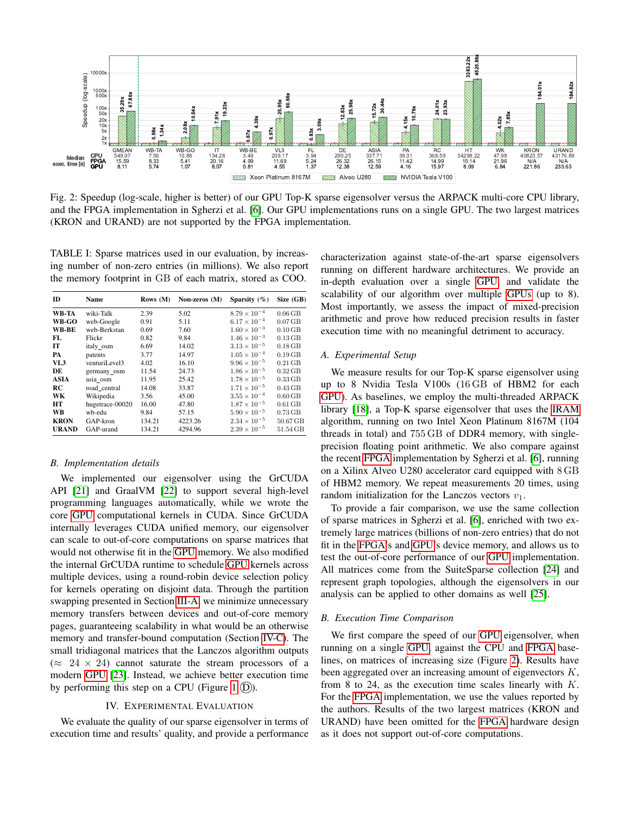<span id="page-2-2"></span>

Fig. 2: Speedup (log-scale, higher is better) of our GPU Top-K sparse eigensolver versus the ARPACK multi-core CPU library, and the FPGA implementation in Sgherzi et al. [\[6\]](#page-4-1). Our GPU implementations runs on a single GPU. The two largest matrices (KRON and URAND) are not supported by the FPGA implementation.

TABLE I: Sparse matrices used in our evaluation, by increasing number of non-zero entries (in millions). We also report the memory footprint in GB of each matrix, stored as COO.

| ID          | Name            | Rows $(M)$ | Non-zeros (M) | Sparsity $(\% )$      | Size (GB) |
|-------------|-----------------|------------|---------------|-----------------------|-----------|
| WB-TA       | wiki-Talk       | 2.39       | 5.02          | $8.79 \times 10^{-4}$ | $0.06$ GB |
| WB-GO       | web-Google      | 0.91       | 5.11          | $6.17 \times 10^{-4}$ | $0.07$ GB |
| WB-BE       | web-Berkstan    | 0.69       | 7.60          | $1.60 \times 10^{-3}$ | $0.10$ GB |
| FL          | Flickr          | 0.82       | 9.84          | $1.46 \times 10^{-3}$ | $0.13$ GB |
| IТ          | italy osm       | 6.69       | 14.02         | $3.13 \times 10^{-5}$ | $0.18$ GB |
| PA          | patents         | 3.77       | 14.97         | $1.05 \times 10^{-4}$ | $0.19$ GB |
| VL3         | venturiLevel3   | 4.02       | 16.10         | $9.96 \times 10^{-5}$ | $0.21$ GB |
| DE          | germany_osm     | 11.54      | 24.73         | $1.86 \times 10^{-5}$ | $0.32$ GB |
| <b>ASIA</b> | asia osm        | 11.95      | 25.42         | $1.78 \times 10^{-5}$ | $0.33$ GB |
| RC          | road central    | 14.08      | 33.87         | $1.71 \times 10^{-5}$ | $0.43$ GB |
| WK          | Wikipedia       | 3.56       | 45.00         | $3.55 \times 10^{-4}$ | $0.60$ GB |
| HT          | hugetrace-00020 | 16.00      | 47.80         | $1.87 \times 10^{-5}$ | $0.61$ GB |
| <b>WB</b>   | wb-edu          | 9.84       | 57.15         | $5.90 \times 10^{-5}$ | $0.73$ GB |
| <b>KRON</b> | GAP-kron        | 134.21     | 4223.26       | $2.34 \times 10^{-5}$ | 50.67 GB  |
| URAND       | GAP-urand       | 134.21     | 4294.96       | $2.39 \times 10^{-5}$ | 51.54 GB  |

## *B. Implementation details*

We implemented our eigensolver using the GrCUDA API [\[21\]](#page-4-15) and GraalVM [\[22\]](#page-4-16) to support several high-level programming languages automatically, while we wrote the core [GPU](#page-0-0) computational kernels in CUDA. Since GrCUDA internally leverages CUDA unified memory, our eigensolver can scale to out-of-core computations on sparse matrices that would not otherwise fit in the [GPU](#page-0-0) memory. We also modified the internal GrCUDA runtime to schedule [GPU](#page-0-0) kernels across multiple devices, using a round-robin device selection policy for kernels operating on disjoint data. Through the partition swapping presented in Section [III-A,](#page-1-2) we minimize unnecessary memory transfers between devices and out-of-core memory pages, guaranteeing scalability in what would be an otherwise memory and transfer-bound computation (Section [IV-C\)](#page-3-1). The small tridiagonal matrices that the Lanczos algorithm outputs  $(\approx 24 \times 24)$  cannot saturate the stream processors of a modern [GPU](#page-0-0) [\[23\]](#page-4-17). Instead, we achieve better execution time by performing this step on a CPU (Figure [1](#page-0-1)  $(D)$ ).

## IV. EXPERIMENTAL EVALUATION

<span id="page-2-1"></span>We evaluate the quality of our sparse eigensolver in terms of execution time and results' quality, and provide a performance

characterization against state-of-the-art sparse eigensolvers running on different hardware architectures. We provide an in-depth evaluation over a single [GPU,](#page-0-0) and validate the scalability of our algorithm over multiple [GPUs](#page-0-0) (up to 8). Most importantly, we assess the impact of mixed-precision arithmetic and prove how reduced precision results in faster execution time with no meaningful detriment to accuracy.

# *A. Experimental Setup*

We measure results for our Top-K sparse eigensolver using up to 8 Nvidia Tesla V100s (16 GB of HBM2 for each [GPU\)](#page-0-0). As baselines, we employ the multi-threaded ARPACK library [\[18\]](#page-4-12), a Top-K sparse eigensolver that uses the [IRAM](#page-0-0) algorithm, running on two Intel Xeon Platinum 8167M (104 threads in total) and 755 GB of DDR4 memory, with singleprecision floating point arithmetic. We also compare against the recent [FPGA](#page-0-0) implementation by Sgherzi et al. [\[6\]](#page-4-1), running on a Xilinx Alveo U280 accelerator card equipped with 8 GB of HBM2 memory. We repeat measurements 20 times, using random initialization for the Lanczos vectors  $v_1$ .

To provide a fair comparison, we use the same collection of sparse matrices in Sgherzi et al. [\[6\]](#page-4-1), enriched with two extremely large matrices (billions of non-zero entries) that do not fit in the [FPGA'](#page-0-0)s and [GPU'](#page-0-0)s device memory, and allows us to test the out-of-core performance of our [GPU](#page-0-0) implementation. All matrices come from the SuiteSparse collection [\[24\]](#page-4-18) and represent graph topologies, although the eigensolvers in our analysis can be applied to other domains as well [\[25\]](#page-4-19).

## <span id="page-2-0"></span>*B. Execution Time Comparison*

We first compare the speed of our [GPU](#page-0-0) eigensolver, when running on a single [GPU,](#page-0-0) against the CPU and [FPGA](#page-0-0) baselines, on matrices of increasing size (Figure [2\)](#page-2-2). Results have been aggregated over an increasing amount of eigenvectors K, from 8 to 24, as the execution time scales linearly with  $K$ . For the [FPGA](#page-0-0) implementation, we use the values reported by the authors. Results of the two largest matrices (KRON and URAND) have been omitted for the [FPGA](#page-0-0) hardware design as it does not support out-of-core computations.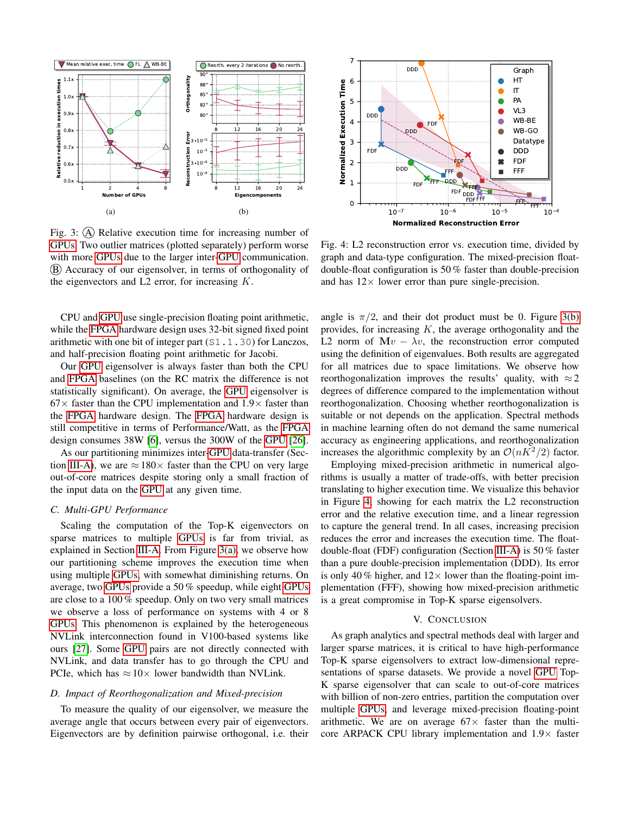<span id="page-3-2"></span>

<span id="page-3-3"></span>Fig. 3: (A) Relative execution time for increasing number of [GPUs.](#page-0-0) Two outlier matrices (plotted separately) perform worse with more [GPUs](#page-0-0) due to the larger inter[-GPU](#page-0-0) communication. B Accuracy of our eigensolver, in terms of orthogonality of the eigenvectors and  $L2$  error, for increasing  $K$ .

CPU and [GPU](#page-0-0) use single-precision floating point arithmetic, while the [FPGA](#page-0-0) hardware design uses 32-bit signed fixed point arithmetic with one bit of integer part (S1.1.30) for Lanczos, and half-precision floating point arithmetic for Jacobi.

Our [GPU](#page-0-0) eigensolver is always faster than both the CPU and [FPGA](#page-0-0) baselines (on the RC matrix the difference is not statistically significant). On average, the [GPU](#page-0-0) eigensolver is  $67\times$  faster than the CPU implementation and  $1.9\times$  faster than the [FPGA](#page-0-0) hardware design. The [FPGA](#page-0-0) hardware design is still competitive in terms of Performance/Watt, as the [FPGA](#page-0-0) design consumes 38W [\[6\]](#page-4-1), versus the 300W of the [GPU](#page-0-0) [\[26\]](#page-4-20).

As our partitioning minimizes inter[-GPU](#page-0-0) data-transfer (Sec-tion [III-A\)](#page-1-2), we are  $\approx 180 \times$  faster than the CPU on very large out-of-core matrices despite storing only a small fraction of the input data on the [GPU](#page-0-0) at any given time.

# <span id="page-3-1"></span>*C. Multi-GPU Performance*

Scaling the computation of the Top-K eigenvectors on sparse matrices to multiple [GPUs](#page-0-0) is far from trivial, as explained in Section [III-A.](#page-1-2) From Figure [3\(a\),](#page-3-2) we observe how our partitioning scheme improves the execution time when using multiple [GPUs,](#page-0-0) with somewhat diminishing returns. On average, two [GPUs](#page-0-0) provide a 50 % speedup, while eight [GPUs](#page-0-0) are close to a 100 % speedup. Only on two very small matrices we observe a loss of performance on systems with 4 or 8 [GPUs.](#page-0-0) This phenomenon is explained by the heterogeneous NVLink interconnection found in V100-based systems like ours [\[27\]](#page-4-21). Some [GPU](#page-0-0) pairs are not directly connected with NVLink, and data transfer has to go through the CPU and PCIe, which has  $\approx 10 \times$  lower bandwidth than NVLink.

### <span id="page-3-0"></span>*D. Impact of Reorthogonalization and Mixed-precision*

To measure the quality of our eigensolver, we measure the average angle that occurs between every pair of eigenvectors. Eigenvectors are by definition pairwise orthogonal, i.e. their

<span id="page-3-4"></span>

Fig. 4: L2 reconstruction error vs. execution time, divided by graph and data-type configuration. The mixed-precision floatdouble-float configuration is 50 % faster than double-precision and has  $12 \times$  lower error than pure single-precision.

angle is  $\pi/2$ , and their dot product must be 0. Figure [3\(b\)](#page-3-3) provides, for increasing  $K$ , the average orthogonality and the L2 norm of  $Mv - \lambda v$ , the reconstruction error computed using the definition of eigenvalues. Both results are aggregated for all matrices due to space limitations. We observe how reorthogonalization improves the results' quality, with  $\approx 2$ degrees of difference compared to the implementation without reorthogonalization. Choosing whether reorthogonalization is suitable or not depends on the application. Spectral methods in machine learning often do not demand the same numerical accuracy as engineering applications, and reorthogonalization increases the algorithmic complexity by an  $\mathcal{O}(nK^2/2)$  factor.

Employing mixed-precision arithmetic in numerical algorithms is usually a matter of trade-offs, with better precision translating to higher execution time. We visualize this behavior in Figure [4,](#page-3-4) showing for each matrix the L2 reconstruction error and the relative execution time, and a linear regression to capture the general trend. In all cases, increasing precision reduces the error and increases the execution time. The floatdouble-float (FDF) configuration (Section [III-A\)](#page-1-2) is 50 % faster than a pure double-precision implementation (DDD). Its error is only 40 % higher, and  $12 \times$  lower than the floating-point implementation (FFF), showing how mixed-precision arithmetic is a great compromise in Top-K sparse eigensolvers.

### V. CONCLUSION

As graph analytics and spectral methods deal with larger and larger sparse matrices, it is critical to have high-performance Top-K sparse eigensolvers to extract low-dimensional representations of sparse datasets. We provide a novel [GPU](#page-0-0) Top-K sparse eigensolver that can scale to out-of-core matrices with billion of non-zero entries, partition the computation over multiple [GPUs,](#page-0-0) and leverage mixed-precision floating-point arithmetic. We are on average  $67\times$  faster than the multicore ARPACK CPU library implementation and  $1.9\times$  faster